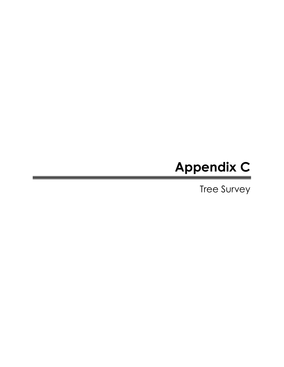## Appendix C

Tree Survey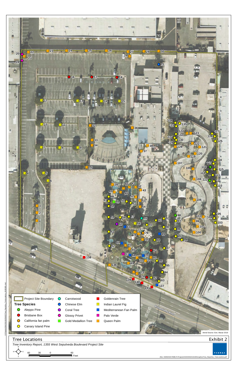(Rev: 09/09/2020 RMB) R:\Projects\HAD\3HAD010100\Graphics\Tree\_Report\ex\_TreeLocations.pdf

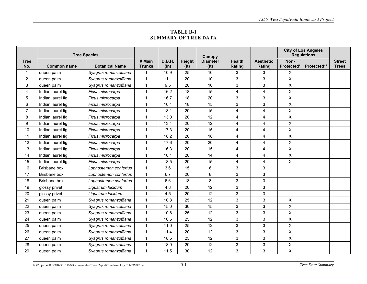**TABLE B-1 SUMMARY OF TREE DATA** 

|                    | <b>Tree Species</b> |                       |                         |                |                             | Canopy                               |                         |                            | <b>City of Los Angeles</b><br><b>Regulations</b> |             |                               |
|--------------------|---------------------|-----------------------|-------------------------|----------------|-----------------------------|--------------------------------------|-------------------------|----------------------------|--------------------------------------------------|-------------|-------------------------------|
| <b>Tree</b><br>No. | <b>Common name</b>  | <b>Botanical Name</b> | # Main<br><b>Trunks</b> | D.B.H.<br>(in) | Height<br>(f <sup>t</sup> ) | <b>Diameter</b><br>(f <sup>t</sup> ) | <b>Health</b><br>Rating | <b>Aesthetic</b><br>Rating | Non-<br>Protected*                               | Protected** | <b>Street</b><br><b>Trees</b> |
| 1                  | queen palm          | Syagrus romanzoffiana | 1                       | 10.9           | 25                          | 10                                   | 3                       | 3                          | X                                                |             |                               |
| $\overline{2}$     | queen palm          | Syagrus romanzoffiana | $\mathbf{1}$            | 11.1           | 20                          | 10                                   | 3                       | 3                          | X                                                |             |                               |
| 3                  | queen palm          | Syagrus romanzoffiana | $\mathbf{1}$            | 9.5            | 20                          | 10                                   | 3                       | 3                          | X                                                |             |                               |
| 4                  | Indian laurel fig   | Ficus microcarpa      | $\mathbf{1}$            | 16.2           | 18                          | 15                                   | $\overline{\mathbf{4}}$ | $\overline{\mathbf{4}}$    | $\pmb{\times}$                                   |             |                               |
| 5                  | Indian laurel fig   | Ficus microcarpa      | -1                      | 16.7           | 18                          | 20                                   | $\mathsf 3$             | 3                          | X                                                |             |                               |
| 6                  | Indian laurel fig   | Ficus microcarpa      | $\mathbf 1$             | 16.4           | 18                          | 15                                   | 3                       | 3                          | X                                                |             |                               |
| $\overline{7}$     | Indian laurel fig   | Ficus microcarpa      | $\mathbf{1}$            | 18.1           | 20                          | 15                                   | $\overline{4}$          | 4                          | $\pmb{\times}$                                   |             |                               |
| 8                  | Indian laurel fig   | Ficus microcarpa      | $\mathbf 1$             | 13.0           | 20                          | 12                                   | 4                       | 4                          | X                                                |             |                               |
| 9                  | Indian laurel fig   | Ficus microcarpa      | $\mathbf{1}$            | 13.4           | 20                          | 12                                   | $\overline{4}$          | 4                          | X                                                |             |                               |
| 10                 | Indian laurel fig   | Ficus microcarpa      | $\mathbf{1}$            | 17.3           | 20                          | 15                                   | $\overline{4}$          | 4                          | X                                                |             |                               |
| 11                 | Indian laurel fig   | Ficus microcarpa      | $\mathbf 1$             | 18.2           | 20                          | 18                                   | 4                       | $\overline{4}$             | $\mathsf X$                                      |             |                               |
| 12                 | Indian laurel fig   | Ficus microcarpa      | $\mathbf{1}$            | 17.6           | 20                          | 20                                   | 4                       | 4                          | X                                                |             |                               |
| 13                 | Indian laurel fig   | Ficus microcarpa      | $\mathbf{1}$            | 16.3           | 20                          | 15                                   | $\overline{4}$          | 4                          | $\pmb{\times}$                                   |             |                               |
| 14                 | Indian laurel fig   | Ficus microcarpa      | $\mathbf 1$             | 16.1           | 20                          | 14                                   | 4                       | 4                          | $\boldsymbol{\mathsf{X}}$                        |             |                               |
| 15                 | Indian laurel fig   | Ficus microcarpa      | $\mathbf{1}$            | 18.5           | 20                          | 15                                   | $\overline{4}$          | 4                          | X                                                |             |                               |
| 16                 | Brisbane box        | Lophostemon confertus | $\mathbf{1}$            | 3.6            | 15                          | 6                                    | 3                       | 3                          |                                                  |             |                               |
| 17                 | Brisbane box        | Lophostemon confertus | $\mathbf 1$             | 6.7            | 20                          | 8                                    | 3                       | 3                          |                                                  |             |                               |
| 18                 | <b>Brisbane</b> box | Lophostemon confertus | $\mathbf{1}$            | 6.6            | 18                          | 8                                    | 3                       | 3                          |                                                  |             |                               |
| 19                 | glossy privet       | Ligustrum lucidum     | $\mathbf{1}$            | 4.8            | 20                          | 12                                   | 3                       | 3                          |                                                  |             |                               |
| 20                 | glossy privet       | Ligustrum lucidum     | $\mathbf{1}$            | 4.5            | 20                          | 12                                   | $\sqrt{3}$              | 3                          |                                                  |             |                               |
| 21                 | queen palm          | Syagrus romanzoffiana | $\mathbf{1}$            | 10.8           | 25                          | 12                                   | $\mathbf{3}$            | $\mathbf{3}$               | X                                                |             |                               |
| 22                 | queen palm          | Syagrus romanzoffiana | $\mathbf{1}$            | 15.0           | 30                          | 15                                   | 3                       | 3                          | X                                                |             |                               |
| 23                 | queen palm          | Syagrus romanzoffiana | $\mathbf{1}$            | 10.8           | 25                          | 12                                   | $\mathbf{3}$            | $\sqrt{3}$                 | $\pmb{\times}$                                   |             |                               |
| 24                 | queen palm          | Syagrus romanzoffiana | $\mathbf{1}$            | 10.5           | 25                          | 12                                   | $\sqrt{3}$              | $\sqrt{3}$                 | $\pmb{\times}$                                   |             |                               |
| 25                 | queen palm          | Syagrus romanzoffiana | $\mathbf{1}$            | 11.0           | 25                          | 12                                   | $\mathbf{3}$            | 3                          | X                                                |             |                               |
| 26                 | queen palm          | Syagrus romanzoffiana | $\mathbf{1}$            | 11.4           | 20                          | 12                                   | $\sqrt{3}$              | 3                          | $\pmb{\times}$                                   |             |                               |
| 27                 | queen palm          | Syagrus romanzoffiana | $\mathbf{1}$            | 18.5           | 25                          | 12                                   | $\sqrt{3}$              | $\sqrt{3}$                 | $\pmb{\times}$                                   |             |                               |
| 28                 | queen palm          | Syagrus romanzoffiana | $\mathbf{1}$            | 18.0           | 20                          | 12                                   | 3                       | 3                          | X                                                |             |                               |
| 29                 | queen palm          | Syagrus romanzoffiana | $\mathbf{1}$            | 11.5           | 30                          | 12                                   | 3                       | 3                          | X                                                |             |                               |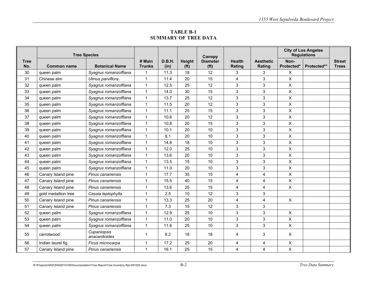**TABLE B-1 SUMMARY OF TREE DATA** 

|                    | <b>Tree Species</b> |                              |                         |                |                             | Canopy                               |                         |                            | <b>City of Los Angeles</b><br><b>Regulations</b> |             |                               |
|--------------------|---------------------|------------------------------|-------------------------|----------------|-----------------------------|--------------------------------------|-------------------------|----------------------------|--------------------------------------------------|-------------|-------------------------------|
| <b>Tree</b><br>No. | <b>Common name</b>  | <b>Botanical Name</b>        | # Main<br><b>Trunks</b> | D.B.H.<br>(in) | Height<br>(f <sup>t</sup> ) | <b>Diameter</b><br>(f <sup>t</sup> ) | <b>Health</b><br>Rating | <b>Aesthetic</b><br>Rating | Non-<br>Protected*                               | Protected** | <b>Street</b><br><b>Trees</b> |
| 30                 | queen palm          | Syagrus romanzoffiana        | 1                       | 11.3           | 18                          | 12                                   | 3                       | 3                          | X                                                |             |                               |
| 31                 | Chinese elm         | Ulmus parviflora             | $\mathbf{1}$            | 11.4           | 20                          | 15                                   | 4                       | 3                          | $\pmb{\times}$                                   |             |                               |
| 32                 | queen palm          | Syagrus romanzoffiana        | $\mathbf{1}$            | 12.5           | 25                          | 12                                   | 3                       | 3                          | $\mathsf{X}$                                     |             |                               |
| 33                 | queen palm          | Syagrus romanzoffiana        | $\mathbf{1}$            | 14.0           | 30                          | 15                                   | 3                       | $\mathbf{3}$               | $\mathsf{X}$                                     |             |                               |
| 34                 | queen palm          | Syagrus romanzoffiana        | $\mathbf{1}$            | 13.7           | 25                          | 12                                   | 3                       | 3                          | X                                                |             |                               |
| 35                 | queen palm          | Syagrus romanzoffiana        | $\mathbf{1}$            | 11.5           | 20                          | 12                                   | 3                       | $\mathbf{3}$               | $\pmb{\times}$                                   |             |                               |
| 36                 | queen palm          | Syagrus romanzoffiana        | $\mathbf{1}$            | 11.1           | 25                          | 15                                   | 3                       | 3                          | $\mathsf{X}$                                     |             |                               |
| 37                 | queen palm          | Syagrus romanzoffiana        | $\mathbf{1}$            | 10.6           | 20                          | 12                                   | 3                       | 3                          | X                                                |             |                               |
| 38                 | queen palm          | Syagrus romanzoffiana        | $\mathbf{1}$            | 10.8           | 20                          | 15                                   | 3                       | 3                          | X                                                |             |                               |
| 39                 | queen palm          | Syagrus romanzoffiana        | $\mathbf{1}$            | 10.1           | 20                          | 10                                   | 3                       | $\mathbf{3}$               | $\pmb{\times}$                                   |             |                               |
| 40                 | queen palm          | Syagrus romanzoffiana        | $\mathbf{1}$            | 8.1            | 20                          | 10                                   | 3                       | 3                          | $\mathsf{X}$                                     |             |                               |
| 41                 | queen palm          | Syagrus romanzoffiana        | $\mathbf{1}$            | 14.8           | 18                          | 10                                   | 3                       | 3                          | $\pmb{\times}$                                   |             |                               |
| 42                 | queen palm          | Syagrus romanzoffiana        | $\mathbf 1$             | 12.0           | 25                          | 10                                   | 3                       | 3                          | $\mathsf{X}$                                     |             |                               |
| 43                 | queen palm          | Syagrus romanzoffiana        | $\mathbf{1}$            | 13.6           | 20                          | 10                                   | 3                       | $\mathbf{3}$               | $\mathsf{X}$                                     |             |                               |
| 44                 | queen palm          | Syagrus romanzoffiana        | $\mathbf{1}$            | 13.5           | 15                          | 10                                   | 3                       | 3                          | $\mathsf{X}$                                     |             |                               |
| 45                 | queen palm          | Syagrus romanzoffiana        | $\mathbf{1}$            | 11.0           | 20                          | 10                                   | 3                       | $\mathbf{3}$               | $\mathsf{X}$                                     |             |                               |
| 46                 | Canary Island pine  | Pinus canariensis            | 1                       | 17.7           | 35                          | 15                                   | 4                       | 4                          | $\pmb{\times}$                                   |             |                               |
| 47                 | Canary Island pine  | Pinus canariensis            | $\mathbf{1}$            | 15.5           | 40                          | 15                                   | 4                       | 4                          | $\mathsf{X}$                                     |             |                               |
| 48                 | Canary Island pine  | Pinus canariensis            | $\mathbf 1$             | 13.6           | 25                          | 15                                   | 4                       | $\overline{4}$             | $\mathsf{X}$                                     |             |                               |
| 49                 | gold medallion tree | Cassia leptophylla           | $\mathbf 1$             | 2.5            | 10                          | 12                                   | 3                       | $\mathbf{3}$               |                                                  |             |                               |
| 50                 | Canary Island pine  | Pinus canariensis            | $\mathbf{1}$            | 13.3           | 25                          | 20                                   | 4                       | 4                          | $\mathsf{X}$                                     |             |                               |
| 51                 | Canary Island pine  | Pinus canariensis            | $\mathbf{1}$            | 7.3            | 15                          | 12                                   | 3                       | $\mathbf{3}$               |                                                  |             |                               |
| 52                 | queen palm          | Syagrus romanzoffiana        | $\mathbf{1}$            | 12.9           | 25                          | 10                                   | 3                       | 3                          | $\pmb{\times}$                                   |             |                               |
| 53                 | queen palm          | Syagrus romanzoffiana        | $\mathbf{1}$            | 11.0           | 20                          | 10                                   | 3                       | 3                          | $\boldsymbol{\mathsf{X}}$                        |             |                               |
| 54                 | queen palm          | Syagrus romanzoffiana        | $\mathbf{1}$            | 11.6           | 25                          | 10                                   | 3                       | $\mathbf{3}$               | $\pmb{\times}$                                   |             |                               |
| 55                 | carrotwood          | Cupaniopsis<br>anacardioides | 1                       | 8.2            | 18                          | 18                                   | 4                       | $\mathbf{3}$               | $\pmb{\times}$                                   |             |                               |
| 56                 | Indian laurel fig   | Ficus microcarpa             | $\mathbf{1}$            | 17.2           | 25                          | 20                                   | 4                       | 4                          | $\pmb{\times}$                                   |             |                               |
| 57                 | Canary Island pine  | Pinus canariensis            | $\mathbf{1}$            | 16.1           | 25                          | 15                                   | $\overline{4}$          | 4                          | $\boldsymbol{\mathsf{X}}$                        |             |                               |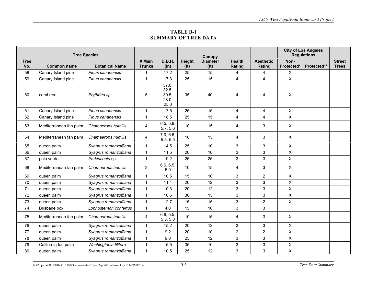## **TABLE B-1 SUMMARY OF TREE DATA**

|                    | <b>Tree Species</b>    |                       |                         |                                          |                             | Canopy                               |                         |                            |                    | <b>City of Los Angeles</b><br><b>Regulations</b> |                               |
|--------------------|------------------------|-----------------------|-------------------------|------------------------------------------|-----------------------------|--------------------------------------|-------------------------|----------------------------|--------------------|--------------------------------------------------|-------------------------------|
| <b>Tree</b><br>No. | <b>Common name</b>     | <b>Botanical Name</b> | # Main<br><b>Trunks</b> | D.B.H.<br>(in)                           | Height<br>(f <sup>t</sup> ) | <b>Diameter</b><br>(f <sup>t</sup> ) | <b>Health</b><br>Rating | <b>Aesthetic</b><br>Rating | Non-<br>Protected* | Protected**                                      | <b>Street</b><br><b>Trees</b> |
| 58                 | Canary Island pine     | Pinus canariensis     | 1                       | 17.2                                     | 25                          | 15                                   | 4                       | 4                          | X                  |                                                  |                               |
| 59                 | Canary Island pine     | Pinus canariensis     | $\mathbf{1}$            | 17.3                                     | 25                          | 15                                   | $\overline{4}$          | $\overline{4}$             | $\mathsf{X}$       |                                                  |                               |
| 60                 | coral tree             | Erythrina sp.         | 5                       | 37.0,<br>32.5,<br>30.5,<br>28.0,<br>25.0 | 35                          | 40                                   | $\overline{4}$          | $\overline{4}$             | $\pmb{\times}$     |                                                  |                               |
| 61                 | Canary Island pine     | Pinus canariensis     | $\mathbf{1}$            | 17.5                                     | 25                          | 15                                   | 4                       | 4                          | $\pmb{\times}$     |                                                  |                               |
| 62                 | Canary Island pine     | Pinus canariensis     | $\mathbf{1}$            | 18.5                                     | 25                          | 15                                   | $\overline{\mathbf{4}}$ | $\overline{4}$             | $\pmb{\times}$     |                                                  |                               |
| 63                 | Mediterranean fan palm | Chamaerops humilis    | 4                       | 6.5, 5.8,<br>5.7, 5.0                    | 10                          | 15                                   | 4                       | 3                          | $\pmb{\times}$     |                                                  |                               |
| 64                 | Mediterranean fan palm | Chamaerops humilis    | 4                       | 7.0, 6.6,<br>5.5, 5.5                    | 10                          | 15                                   | 4                       | 3                          | $\pmb{\times}$     |                                                  |                               |
| 65                 | queen palm             | Syagrus romanzoffiana | $\mathbf{1}$            | 14.5                                     | 25                          | 10                                   | 3                       | 3                          | $\pmb{\times}$     |                                                  |                               |
| 66                 | queen palm             | Syagrus romanzoffiana | $\mathbf{1}$            | 11.5                                     | 20                          | 10                                   | 3                       | $\mathbf{3}$               | $\pmb{\times}$     |                                                  |                               |
| 67                 | palo verde             | Parkinsonia sp.       | $\mathbf{1}$            | 19.2                                     | 25                          | 25                                   | 3                       | 3                          | $\pmb{\times}$     |                                                  |                               |
| 68                 | Mediterranean fan palm | Chamaerops humilis    | 3                       | 6.6, 6.5,<br>5.9                         | 10                          | 15                                   | $\overline{4}$          | 3                          | $\mathsf{X}$       |                                                  |                               |
| 69                 | queen palm             | Syagrus romanzoffiana | $\mathbf{1}$            | 10.5                                     | 15                          | 10                                   | 3                       | $\overline{2}$             | $\mathsf{X}$       |                                                  |                               |
| 70                 | queen palm             | Syagrus romanzoffiana | $\mathbf{1}$            | 11.4                                     | 20                          | 12                                   | 3                       | 3                          | $\mathsf{X}$       |                                                  |                               |
| 71                 | queen palm             | Syagrus romanzoffiana | $\mathbf{1}$            | 10.3                                     | 20                          | 12                                   | 3                       | $\mathfrak{S}$             | $\pmb{\times}$     |                                                  |                               |
| 72                 | queen palm             | Syagrus romanzoffiana | $\mathbf{1}$            | 10.6                                     | 30                          | 15                                   | 3                       | 3                          | $\pmb{\times}$     |                                                  |                               |
| 73                 | queen palm             | Syagrus romanzoffiana | $\mathbf{1}$            | 12.7                                     | 15                          | 15                                   | 3                       | $\overline{2}$             | $\mathsf{X}$       |                                                  |                               |
| 74                 | Brisbane box           | Lophostemon confertus | $\mathbf{1}$            | 4.0                                      | 15                          | 10                                   | 3                       | 3                          |                    |                                                  |                               |
| 75                 | Mediterranean fan palm | Chamaerops humilis    | 4                       | 6.8, 5.5,<br>5.5, 5.0                    | 10                          | 15                                   | 4                       | 3                          | X                  |                                                  |                               |
| 76                 | queen palm             | Syagrus romanzoffiana | $\mathbf{1}$            | 15.2                                     | 20                          | 12                                   | 3                       | $\mathfrak{S}$             | $\pmb{\times}$     |                                                  |                               |
| 77                 | queen palm             | Syagrus romanzoffiana | $\mathbf{1}$            | 9.2                                      | 20                          | 10                                   | $\overline{2}$          | $\overline{2}$             | $\pmb{\times}$     |                                                  |                               |
| 78                 | queen palm             | Syagrus romanzoffiana | $\mathbf{1}$            | 9.0                                      | 25                          | 12                                   | 3                       | $\mathfrak{S}$             | $\pmb{\times}$     |                                                  |                               |
| 79                 | California fan palm    | Washingtonia filifera | $\mathbf{1}$            | 15.5                                     | 35                          | 10                                   | 3                       | $\mathfrak{S}$             | $\pmb{\times}$     |                                                  |                               |
| 80                 | queen palm             | Syagrus romanzoffiana | $\mathbf{1}$            | 10.5                                     | 25                          | 12                                   | 3                       | 3                          | $\pmb{\times}$     |                                                  |                               |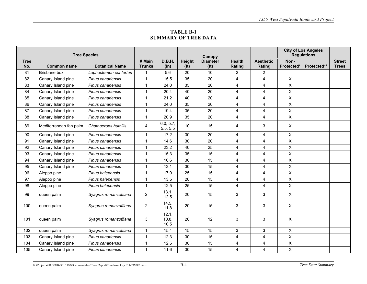**TABLE B-1 SUMMARY OF TREE DATA** 

|                    | <b>Tree Species</b>    |                       |                         |                        |                             | Canopy                               |                         |                            | <b>City of Los Angeles</b><br><b>Regulations</b> |             |                               |
|--------------------|------------------------|-----------------------|-------------------------|------------------------|-----------------------------|--------------------------------------|-------------------------|----------------------------|--------------------------------------------------|-------------|-------------------------------|
| <b>Tree</b><br>No. | <b>Common name</b>     | <b>Botanical Name</b> | # Main<br><b>Trunks</b> | D.B.H.<br>(in)         | Height<br>(f <sup>t</sup> ) | <b>Diameter</b><br>(f <sup>t</sup> ) | <b>Health</b><br>Rating | <b>Aesthetic</b><br>Rating | Non-<br>Protected*                               | Protected** | <b>Street</b><br><b>Trees</b> |
| 81                 | Brisbane box           | Lophostemon confertus | 1                       | 5.6                    | 20                          | 10                                   | $\overline{2}$          | 2                          |                                                  |             |                               |
| 82                 | Canary Island pine     | Pinus canariensis     | 1                       | 15.5                   | 35                          | 20                                   | $\overline{4}$          | $\overline{4}$             | X                                                |             |                               |
| 83                 | Canary Island pine     | Pinus canariensis     | $\mathbf{1}$            | 24.0                   | 35                          | 20                                   | $\overline{4}$          | 4                          | $\mathsf{X}$                                     |             |                               |
| 84                 | Canary Island pine     | Pinus canariensis     | $\mathbf{1}$            | 20.4                   | 40                          | 20                                   | $\overline{4}$          | $\overline{4}$             | $\mathsf{X}$                                     |             |                               |
| 85                 | Canary Island pine     | Pinus canariensis     | $\mathbf{1}$            | 21.2                   | 40                          | 20                                   | $\overline{\mathbf{4}}$ | 4                          | $\boldsymbol{\mathsf{X}}$                        |             |                               |
| 86                 | Canary Island pine     | Pinus canariensis     | $\mathbf{1}$            | 24.0                   | 35                          | 20                                   | $\overline{4}$          | $\overline{4}$             | $\pmb{\times}$                                   |             |                               |
| 87                 | Canary Island pine     | Pinus canariensis     | 1                       | 19.4                   | 35                          | 20                                   | $\overline{4}$          | 4                          | X                                                |             |                               |
| 88                 | Canary Island pine     | Pinus canariensis     | $\mathbf{1}$            | 20.9                   | 35                          | 20                                   | $\overline{4}$          | 4                          | $\mathsf{X}$                                     |             |                               |
| 89                 | Mediterranean fan palm | Chamaerops humilis    | 4                       | 6.0, 5.7,<br>5.5, 5.5  | 10                          | 15                                   | $\overline{4}$          | 3                          | $\mathsf{X}$                                     |             |                               |
| 90                 | Canary Island pine     | Pinus canariensis     | $\mathbf 1$             | 17.2                   | 30                          | 20                                   | $\overline{4}$          | 4                          | $\mathsf{X}$                                     |             |                               |
| 91                 | Canary Island pine     | Pinus canariensis     | $\mathbf 1$             | 14.6                   | 30                          | 20                                   | $\overline{4}$          | 4                          | X                                                |             |                               |
| 92                 | Canary Island pine     | Pinus canariensis     | $\mathbf{1}$            | 23.2                   | 40                          | 25                                   | $\overline{4}$          | 4                          | $\pmb{\times}$                                   |             |                               |
| 93                 | Canary Island pine     | Pinus canariensis     | $\mathbf{1}$            | 15.3                   | 35                          | 15                                   | $\overline{4}$          | 4                          | $\mathsf{X}$                                     |             |                               |
| 94                 | Canary Island pine     | Pinus canariensis     | $\mathbf{1}$            | 16.6                   | 30                          | 15                                   | $\overline{4}$          | $\overline{4}$             | $\mathsf{X}$                                     |             |                               |
| 95                 | Canary Island pine     | Pinus canariensis     | $\mathbf{1}$            | 13.1                   | 30                          | 15                                   | $\overline{4}$          | $\overline{4}$             | $\mathsf{X}$                                     |             |                               |
| 96                 | Aleppo pine            | Pinus halepensis      | $\mathbf{1}$            | 17.0                   | 25                          | 15                                   | $\overline{4}$          | 4                          | $\mathsf{X}$                                     |             |                               |
| 97                 | Aleppo pine            | Pinus halepensis      | $\mathbf{1}$            | 13.5                   | 20                          | 15                                   | $\overline{4}$          | $\overline{\mathbf{4}}$    | $\mathsf{X}$                                     |             |                               |
| 98                 | Aleppo pine            | Pinus halepensis      | $\mathbf{1}$            | 12.5                   | 25                          | 15                                   | $\overline{4}$          | 4                          | $\mathsf{X}$                                     |             |                               |
| 99                 | queen palm             | Syagrus romanzoffiana | $\overline{2}$          | 13.1,<br>12.5          | 20                          | 15                                   | $\mathfrak{S}$          | $\mathbf{3}$               | $\pmb{\times}$                                   |             |                               |
| 100                | queen palm             | Syagrus romanzoffiana | $\overline{2}$          | 14.5,<br>11.8          | 20                          | 15                                   | $\mathfrak{S}$          | $\mathbf{3}$               | $\pmb{\times}$                                   |             |                               |
| 101                | queen palm             | Syagrus romanzoffiana | 3                       | 12.1.<br>10.8,<br>10.5 | 20                          | 12                                   | 3                       | 3                          | $\pmb{\times}$                                   |             |                               |
| 102                | queen palm             | Syagrus romanzoffiana | $\mathbf{1}$            | 15.4                   | 15                          | 15                                   | 3                       | 3                          | $\mathsf{X}$                                     |             |                               |
| 103                | Canary Island pine     | Pinus canariensis     | $\mathbf{1}$            | 12.3                   | 30                          | 15                                   | $\overline{\mathbf{4}}$ | 4                          | X                                                |             |                               |
| 104                | Canary Island pine     | Pinus canariensis     | $\mathbf{1}$            | 12.5                   | 30                          | 15                                   | 4                       | 4                          | X                                                |             |                               |
| 105                | Canary Island pine     | Pinus canariensis     | $\mathbf{1}$            | 11.6                   | 30                          | 15                                   | $\overline{4}$          | 4                          | $\mathsf{X}$                                     |             |                               |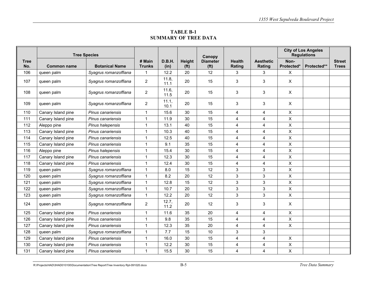**TABLE B-1 SUMMARY OF TREE DATA** 

|             | <b>Tree Species</b> |                       |                         |                |                             | Canopy                               |                         |                            | <b>City of Los Angeles</b><br><b>Regulations</b> |             |                               |
|-------------|---------------------|-----------------------|-------------------------|----------------|-----------------------------|--------------------------------------|-------------------------|----------------------------|--------------------------------------------------|-------------|-------------------------------|
| Tree<br>No. | <b>Common name</b>  | <b>Botanical Name</b> | # Main<br><b>Trunks</b> | D.B.H.<br>(in) | Height<br>(f <sup>t</sup> ) | <b>Diameter</b><br>(f <sup>t</sup> ) | <b>Health</b><br>Rating | <b>Aesthetic</b><br>Rating | Non-<br>Protected*                               | Protected** | <b>Street</b><br><b>Trees</b> |
| 106         | queen palm          | Syagrus romanzoffiana | 1                       | 12.2           | 20                          | 12                                   | 3                       | 3                          | $\mathsf{X}$                                     |             |                               |
| 107         | queen palm          | Syagrus romanzoffiana | $\overline{2}$          | 11.8,<br>11.1  | 20                          | 15                                   | 3                       | 3                          | $\mathsf{X}$                                     |             |                               |
| 108         | queen palm          | Syagrus romanzoffiana | $\overline{2}$          | 11.6,<br>11.5  | 20                          | 15                                   | 3                       | 3                          | $\mathsf{X}$                                     |             |                               |
| 109         | queen palm          | Syagrus romanzoffiana | $\overline{2}$          | 11.1,<br>10.1  | 20                          | 15                                   | 3                       | 3                          | $\mathsf{X}$                                     |             |                               |
| 110         | Canary Island pine  | Pinus canariensis     | $\mathbf{1}$            | 15.6           | 30                          | 15                                   | 4                       | 4                          | X                                                |             |                               |
| 111         | Canary Island pine  | Pinus canariensis     | $\mathbf{1}$            | 11.9           | 30                          | 15                                   | $\overline{4}$          | $\overline{4}$             | $\mathsf{X}$                                     |             |                               |
| 112         | Aleppo pine         | Pinus halepensis      | $\mathbf{1}$            | 13.1           | 40                          | 15                                   | $\overline{\mathbf{4}}$ | $\overline{\mathbf{4}}$    | $\boldsymbol{\mathsf{X}}$                        |             |                               |
| 113         | Canary Island pine  | Pinus canariensis     | $\mathbf{1}$            | 10.3           | 40                          | 15                                   | $\overline{4}$          | $\overline{\mathbf{4}}$    | $\mathsf{X}$                                     |             |                               |
| 114         | Canary Island pine  | Pinus canariensis     | $\mathbf{1}$            | 12.5           | 40                          | 15                                   | $\overline{4}$          | $\overline{4}$             | $\pmb{\times}$                                   |             |                               |
| 115         | Canary Island pine  | Pinus canariensis     | $\mathbf{1}$            | 9.1            | 35                          | 15                                   | $\overline{4}$          | $\overline{4}$             | $\mathsf{X}$                                     |             |                               |
| 116         | Aleppo pine         | Pinus halepensis      | $\mathbf{1}$            | 15.4           | 30                          | 15                                   | $\overline{4}$          | $\overline{4}$             | X                                                |             |                               |
| 117         | Canary Island pine  | Pinus canariensis     | $\mathbf{1}$            | 12.3           | 30                          | 15                                   | $\overline{4}$          | $\overline{4}$             | $\mathsf{X}$                                     |             |                               |
| 118         | Canary Island pine  | Pinus canariensis     | $\mathbf{1}$            | 12.4           | 30                          | 15                                   | $\overline{4}$          | $\overline{\mathbf{4}}$    | X                                                |             |                               |
| 119         | queen palm          | Syagrus romanzoffiana | $\mathbf{1}$            | 8.0            | 15                          | 12                                   | $\mathfrak{S}$          | $\mathbf{3}$               | $\mathsf X$                                      |             |                               |
| 120         | queen palm          | Syagrus romanzoffiana | $\mathbf{1}$            | 8.2            | 20                          | 12                                   | $\mathbf{3}$            | 3                          | $\mathsf{X}$                                     |             |                               |
| 121         | queen palm          | Syagrus romanzoffiana | $\mathbf{1}$            | 12.8           | 15                          | 12                                   | $\mathfrak{S}$          | $\mathbf{3}$               | $\mathsf{X}$                                     |             |                               |
| 122         | queen palm          | Syagrus romanzoffiana | $\mathbf{1}$            | 10.7           | 20                          | 12                                   | $\mathbf{3}$            | 3                          | $\boldsymbol{\mathsf{X}}$                        |             |                               |
| 123         | queen palm          | Syagrus romanzoffiana | $\mathbf{1}$            | 12.2           | 20                          | 12                                   | $\mathbf{3}$            | 3                          | $\mathsf{X}$                                     |             |                               |
| 124         | queen palm          | Syagrus romanzoffiana | $\overline{2}$          | 12.7,<br>11.2  | 20                          | 12                                   | 3                       | 3                          | $\mathsf{X}$                                     |             |                               |
| 125         | Canary Island pine  | Pinus canariensis     | $\mathbf{1}$            | 11.6           | 35                          | 20                                   | $\overline{4}$          | 4                          | $\pmb{\times}$                                   |             |                               |
| 126         | Canary Island pine  | Pinus canariensis     | $\mathbf{1}$            | 9.8            | 35                          | 15                                   | $\overline{\mathbf{4}}$ | $\overline{\mathbf{4}}$    | $\mathsf{X}$                                     |             |                               |
| 127         | Canary Island pine  | Pinus canariensis     | $\mathbf 1$             | 12.3           | 35                          | 20                                   | $\overline{4}$          | $\overline{4}$             | $\pmb{\times}$                                   |             |                               |
| 128         | queen palm          | Syagrus romanzoffiana | $\mathbf{1}$            | 7.7            | 15                          | 10                                   | 3                       | 3                          |                                                  |             |                               |
| 129         | Canary Island pine  | Pinus canariensis     | $\mathbf{1}$            | 16.0           | 30                          | 15                                   | $\overline{\mathbf{4}}$ | $\overline{\mathbf{4}}$    | $\pmb{\times}$                                   |             |                               |
| 130         | Canary Island pine  | Pinus canariensis     | 1                       | 12.2           | 30                          | 15                                   | 4                       | 4                          | X                                                |             |                               |
| 131         | Canary Island pine  | Pinus canariensis     | $\mathbf{1}$            | 15.5           | 30                          | 15                                   | $\overline{4}$          | 4                          | $\mathsf{X}$                                     |             |                               |